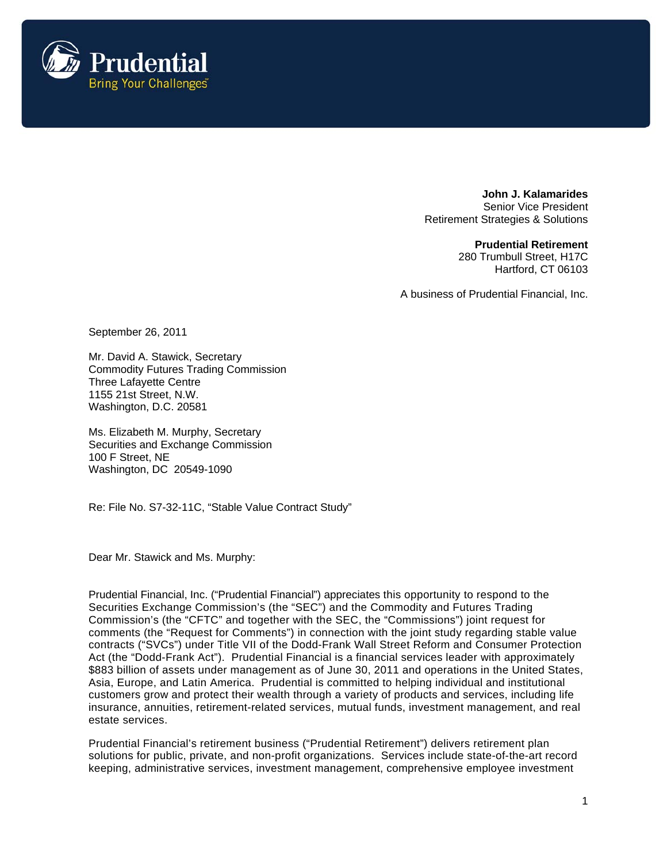

**John J. Kalamarides**  Senior Vice President Retirement Strategies & Solutions

> **Prudential Retirement**  280 Trumbull Street, H17C Hartford, CT 06103

A business of Prudential Financial, Inc.

September 26, 2011

Mr. David A. Stawick, Secretary Commodity Futures Trading Commission Three Lafayette Centre 1155 21st Street, N.W. Washington, D.C. 20581

Ms. Elizabeth M. Murphy, Secretary Securities and Exchange Commission 100 F Street, NE Washington, DC 20549-1090

Re: File No. S7-32-11C, "Stable Value Contract Study"

Dear Mr. Stawick and Ms. Murphy:

Prudential Financial, Inc. ("Prudential Financial") appreciates this opportunity to respond to the Securities Exchange Commission's (the "SEC") and the Commodity and Futures Trading Commission's (the "CFTC" and together with the SEC, the "Commissions") joint request for comments (the "Request for Comments") in connection with the joint study regarding stable value contracts ("SVCs") under Title VII of the Dodd-Frank Wall Street Reform and Consumer Protection Act (the "Dodd-Frank Act"). Prudential Financial is a financial services leader with approximately \$883 billion of assets under management as of June 30, 2011 and operations in the United States, Asia, Europe, and Latin America. Prudential is committed to helping individual and institutional customers grow and protect their wealth through a variety of products and services, including life insurance, annuities, retirement-related services, mutual funds, investment management, and real estate services.

Prudential Financial's retirement business ("Prudential Retirement") delivers retirement plan solutions for public, private, and non-profit organizations. Services include state-of-the-art record keeping, administrative services, investment management, comprehensive employee investment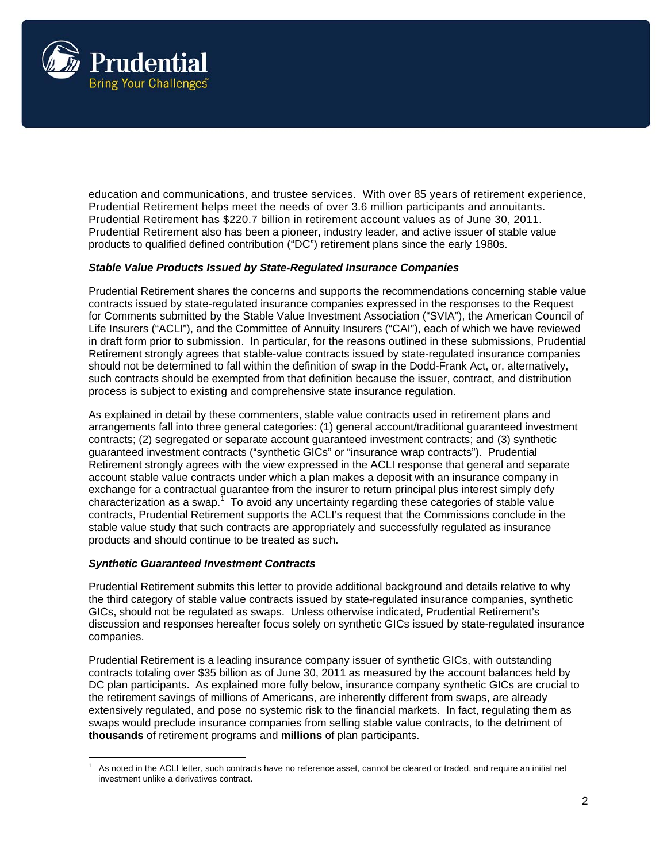

education and communications, and trustee services. With over 85 years of retirement experience, Prudential Retirement helps meet the needs of over 3.6 million participants and annuitants. Prudential Retirement has \$220.7 billion in retirement account values as of June 30, 2011. Prudential Retirement also has been a pioneer, industry leader, and active issuer of stable value products to qualified defined contribution ("DC") retirement plans since the early 1980s.

### *Stable Value Products Issued by State-Regulated Insurance Companies*

Prudential Retirement shares the concerns and supports the recommendations concerning stable value contracts issued by state-regulated insurance companies expressed in the responses to the Request for Comments submitted by the Stable Value Investment Association ("SVIA"), the American Council of Life Insurers ("ACLI"), and the Committee of Annuity Insurers ("CAI"), each of which we have reviewed in draft form prior to submission. In particular, for the reasons outlined in these submissions, Prudential Retirement strongly agrees that stable-value contracts issued by state-regulated insurance companies should not be determined to fall within the definition of swap in the Dodd-Frank Act, or, alternatively, such contracts should be exempted from that definition because the issuer, contract, and distribution process is subject to existing and comprehensive state insurance regulation.

As explained in detail by these commenters, stable value contracts used in retirement plans and arrangements fall into three general categories: (1) general account/traditional guaranteed investment contracts; (2) segregated or separate account guaranteed investment contracts; and (3) synthetic guaranteed investment contracts ("synthetic GICs" or "insurance wrap contracts"). Prudential Retirement strongly agrees with the view expressed in the ACLI response that general and separate account stable value contracts under which a plan makes a deposit with an insurance company in exchange for a contractual guarantee from the insurer to return principal plus interest simply defy characterization as a swap.<sup>1</sup> To avoid any uncertainty regarding these categories of stable value contracts, Prudential Retirement supports the ACLI's request that the Commissions conclude in the stable value study that such contracts are appropriately and successfully regulated as insurance products and should continue to be treated as such.

### *Synthetic Guaranteed Investment Contracts*

Prudential Retirement submits this letter to provide additional background and details relative to why the third category of stable value contracts issued by state-regulated insurance companies, synthetic GICs, should not be regulated as swaps. Unless otherwise indicated, Prudential Retirement's discussion and responses hereafter focus solely on synthetic GICs issued by state-regulated insurance companies.

Prudential Retirement is a leading insurance company issuer of synthetic GICs, with outstanding contracts totaling over \$35 billion as of June 30, 2011 as measured by the account balances held by DC plan participants. As explained more fully below, insurance company synthetic GICs are crucial to the retirement savings of millions of Americans, are inherently different from swaps, are already extensively regulated, and pose no systemic risk to the financial markets. In fact, regulating them as swaps would preclude insurance companies from selling stable value contracts, to the detriment of **thousands** of retirement programs and **millions** of plan participants.

 1 As noted in the ACLI letter, such contracts have no reference asset, cannot be cleared or traded, and require an initial net investment unlike a derivatives contract.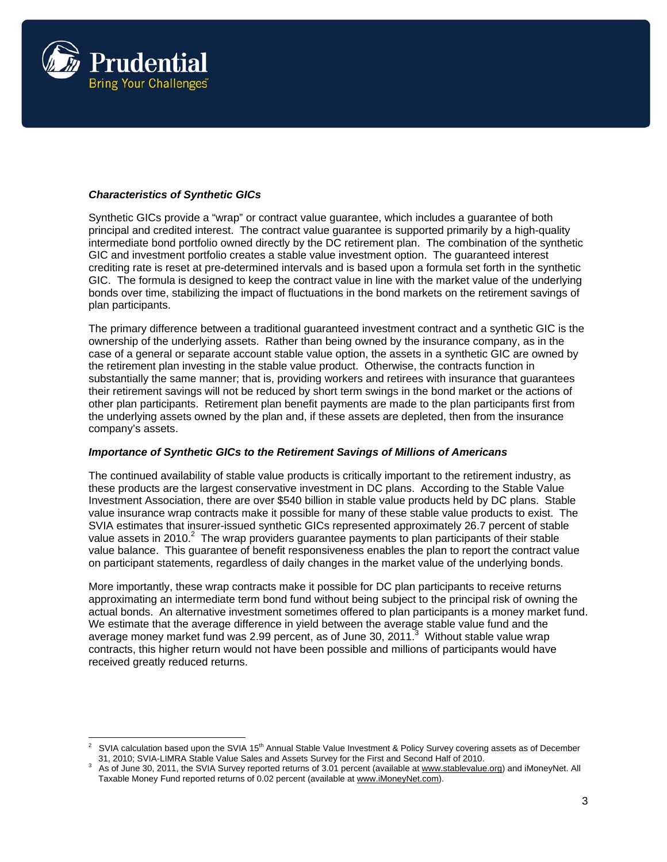

# *Characteristics of Synthetic GICs*

Synthetic GICs provide a "wrap" or contract value guarantee, which includes a guarantee of both principal and credited interest. The contract value guarantee is supported primarily by a high-quality intermediate bond portfolio owned directly by the DC retirement plan. The combination of the synthetic GIC and investment portfolio creates a stable value investment option. The guaranteed interest crediting rate is reset at pre-determined intervals and is based upon a formula set forth in the synthetic GIC. The formula is designed to keep the contract value in line with the market value of the underlying bonds over time, stabilizing the impact of fluctuations in the bond markets on the retirement savings of plan participants.

The primary difference between a traditional guaranteed investment contract and a synthetic GIC is the ownership of the underlying assets. Rather than being owned by the insurance company, as in the case of a general or separate account stable value option, the assets in a synthetic GIC are owned by the retirement plan investing in the stable value product. Otherwise, the contracts function in substantially the same manner; that is, providing workers and retirees with insurance that guarantees their retirement savings will not be reduced by short term swings in the bond market or the actions of other plan participants. Retirement plan benefit payments are made to the plan participants first from the underlying assets owned by the plan and, if these assets are depleted, then from the insurance company's assets.

### *Importance of Synthetic GICs to the Retirement Savings of Millions of Americans*

The continued availability of stable value products is critically important to the retirement industry, as these products are the largest conservative investment in DC plans. According to the Stable Value Investment Association, there are over \$540 billion in stable value products held by DC plans. Stable value insurance wrap contracts make it possible for many of these stable value products to exist. The SVIA estimates that insurer-issued synthetic GICs represented approximately 26.7 percent of stable value assets in 2010. $^2$  The wrap providers guarantee payments to plan participants of their stable value balance. This guarantee of benefit responsiveness enables the plan to report the contract value on participant statements, regardless of daily changes in the market value of the underlying bonds.

More importantly, these wrap contracts make it possible for DC plan participants to receive returns approximating an intermediate term bond fund without being subject to the principal risk of owning the actual bonds. An alternative investment sometimes offered to plan participants is a money market fund. We estimate that the average difference in yield between the average stable value fund and the average money market fund was 2.99 percent, as of June 30, 2011.<sup>3</sup> Without stable value wrap contracts, this higher return would not have been possible and millions of participants would have received greatly reduced returns.

<sup>2</sup> SVIA calculation based upon the SVIA 15<sup>th</sup> Annual Stable Value Investment & Policy Survey covering assets as of December 31, 2010; SVIA-LIMRA Stable Value Sales and Assets Survey for the First and Second Half of 2010. 3

As of June 30, 2011, the SVIA Survey reported returns of 3.01 percent (available at www.stablevalue.org) and iMoneyNet. All Taxable Money Fund reported returns of 0.02 percent (available at www.iMoneyNet.com).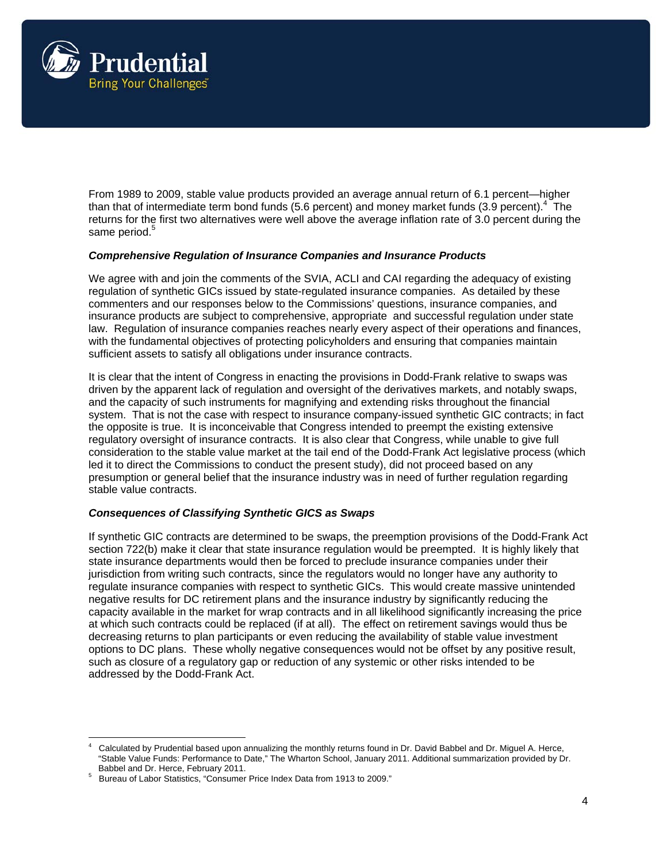

From 1989 to 2009, stable value products provided an average annual return of 6.1 percent—higher than that of intermediate term bond funds (5.6 percent) and money market funds (3.9 percent).<sup>4</sup> The returns for the first two alternatives were well above the average inflation rate of 3.0 percent during the same period.<sup>5</sup>

### *Comprehensive Regulation of Insurance Companies and Insurance Products*

We agree with and join the comments of the SVIA, ACLI and CAI regarding the adequacy of existing regulation of synthetic GICs issued by state-regulated insurance companies. As detailed by these commenters and our responses below to the Commissions' questions, insurance companies, and insurance products are subject to comprehensive, appropriate and successful regulation under state law. Regulation of insurance companies reaches nearly every aspect of their operations and finances, with the fundamental objectives of protecting policyholders and ensuring that companies maintain sufficient assets to satisfy all obligations under insurance contracts.

It is clear that the intent of Congress in enacting the provisions in Dodd-Frank relative to swaps was driven by the apparent lack of regulation and oversight of the derivatives markets, and notably swaps, and the capacity of such instruments for magnifying and extending risks throughout the financial system. That is not the case with respect to insurance company-issued synthetic GIC contracts; in fact the opposite is true. It is inconceivable that Congress intended to preempt the existing extensive regulatory oversight of insurance contracts. It is also clear that Congress, while unable to give full consideration to the stable value market at the tail end of the Dodd-Frank Act legislative process (which led it to direct the Commissions to conduct the present study), did not proceed based on any presumption or general belief that the insurance industry was in need of further regulation regarding stable value contracts.

### *Consequences of Classifying Synthetic GICS as Swaps*

If synthetic GIC contracts are determined to be swaps, the preemption provisions of the Dodd-Frank Act section 722(b) make it clear that state insurance regulation would be preempted. It is highly likely that state insurance departments would then be forced to preclude insurance companies under their jurisdiction from writing such contracts, since the regulators would no longer have any authority to regulate insurance companies with respect to synthetic GICs. This would create massive unintended negative results for DC retirement plans and the insurance industry by significantly reducing the capacity available in the market for wrap contracts and in all likelihood significantly increasing the price at which such contracts could be replaced (if at all). The effect on retirement savings would thus be decreasing returns to plan participants or even reducing the availability of stable value investment options to DC plans. These wholly negative consequences would not be offset by any positive result, such as closure of a regulatory gap or reduction of any systemic or other risks intended to be addressed by the Dodd-Frank Act.

<sup>4</sup> Calculated by Prudential based upon annualizing the monthly returns found in Dr. David Babbel and Dr. Miguel A. Herce, "Stable Value Funds: Performance to Date," The Wharton School, January 2011. Additional summarization provided by Dr. Babbel and Dr. Herce, February 2011.

Bureau of Labor Statistics, "Consumer Price Index Data from 1913 to 2009."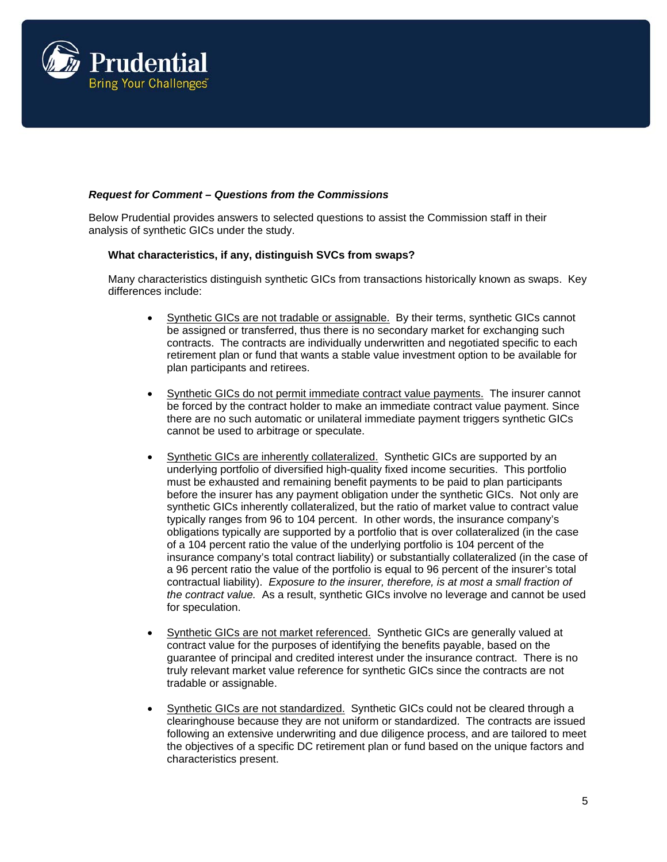

## *Request for Comment – Questions from the Commissions*

Below Prudential provides answers to selected questions to assist the Commission staff in their analysis of synthetic GICs under the study.

### **What characteristics, if any, distinguish SVCs from swaps?**

Many characteristics distinguish synthetic GICs from transactions historically known as swaps. Key differences include:

- Synthetic GICs are not tradable or assignable. By their terms, synthetic GICs cannot be assigned or transferred, thus there is no secondary market for exchanging such contracts. The contracts are individually underwritten and negotiated specific to each retirement plan or fund that wants a stable value investment option to be available for plan participants and retirees.
- Synthetic GICs do not permit immediate contract value payments. The insurer cannot be forced by the contract holder to make an immediate contract value payment. Since there are no such automatic or unilateral immediate payment triggers synthetic GICs cannot be used to arbitrage or speculate.
- Synthetic GICs are inherently collateralized. Synthetic GICs are supported by an underlying portfolio of diversified high-quality fixed income securities. This portfolio must be exhausted and remaining benefit payments to be paid to plan participants before the insurer has any payment obligation under the synthetic GICs. Not only are synthetic GICs inherently collateralized, but the ratio of market value to contract value typically ranges from 96 to 104 percent. In other words, the insurance company's obligations typically are supported by a portfolio that is over collateralized (in the case of a 104 percent ratio the value of the underlying portfolio is 104 percent of the insurance company's total contract liability) or substantially collateralized (in the case of a 96 percent ratio the value of the portfolio is equal to 96 percent of the insurer's total contractual liability). *Exposure to the insurer, therefore, is at most a small fraction of the contract value.* As a result, synthetic GICs involve no leverage and cannot be used for speculation.
- Synthetic GICs are not market referenced. Synthetic GICs are generally valued at contract value for the purposes of identifying the benefits payable, based on the guarantee of principal and credited interest under the insurance contract. There is no truly relevant market value reference for synthetic GICs since the contracts are not tradable or assignable.
- Synthetic GICs are not standardized. Synthetic GICs could not be cleared through a clearinghouse because they are not uniform or standardized. The contracts are issued following an extensive underwriting and due diligence process, and are tailored to meet the objectives of a specific DC retirement plan or fund based on the unique factors and characteristics present.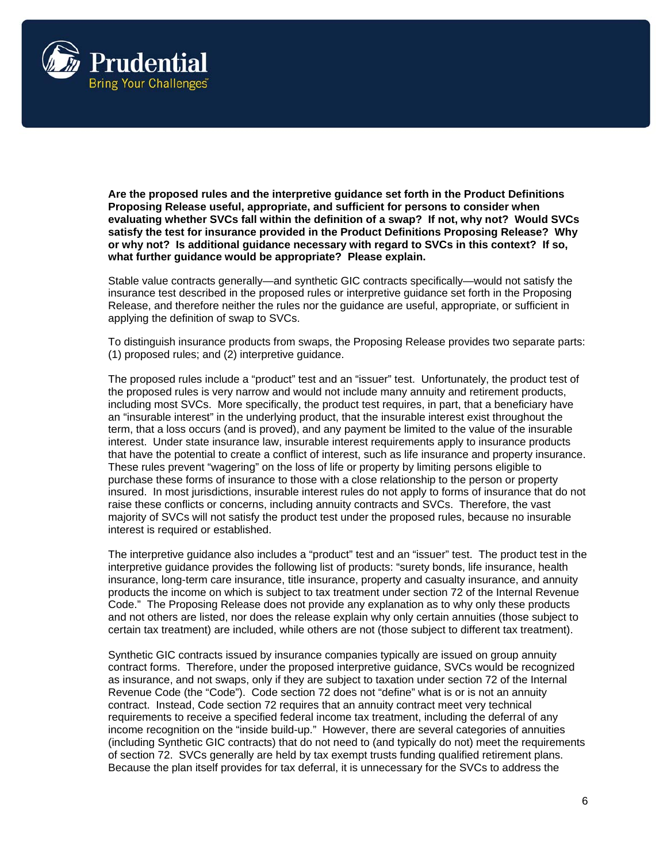

**Are the proposed rules and the interpretive guidance set forth in the Product Definitions Proposing Release useful, appropriate, and sufficient for persons to consider when evaluating whether SVCs fall within the definition of a swap? If not, why not? Would SVCs satisfy the test for insurance provided in the Product Definitions Proposing Release? Why or why not? Is additional guidance necessary with regard to SVCs in this context? If so, what further guidance would be appropriate? Please explain.** 

Stable value contracts generally—and synthetic GIC contracts specifically—would not satisfy the insurance test described in the proposed rules or interpretive guidance set forth in the Proposing Release, and therefore neither the rules nor the guidance are useful, appropriate, or sufficient in applying the definition of swap to SVCs.

To distinguish insurance products from swaps, the Proposing Release provides two separate parts: (1) proposed rules; and (2) interpretive guidance.

The proposed rules include a "product" test and an "issuer" test. Unfortunately, the product test of the proposed rules is very narrow and would not include many annuity and retirement products, including most SVCs. More specifically, the product test requires, in part, that a beneficiary have an "insurable interest" in the underlying product, that the insurable interest exist throughout the term, that a loss occurs (and is proved), and any payment be limited to the value of the insurable interest. Under state insurance law, insurable interest requirements apply to insurance products that have the potential to create a conflict of interest, such as life insurance and property insurance. These rules prevent "wagering" on the loss of life or property by limiting persons eligible to purchase these forms of insurance to those with a close relationship to the person or property insured. In most jurisdictions, insurable interest rules do not apply to forms of insurance that do not raise these conflicts or concerns, including annuity contracts and SVCs. Therefore, the vast majority of SVCs will not satisfy the product test under the proposed rules, because no insurable interest is required or established.

The interpretive guidance also includes a "product" test and an "issuer" test. The product test in the interpretive guidance provides the following list of products: "surety bonds, life insurance, health insurance, long-term care insurance, title insurance, property and casualty insurance, and annuity products the income on which is subject to tax treatment under section 72 of the Internal Revenue Code." The Proposing Release does not provide any explanation as to why only these products and not others are listed, nor does the release explain why only certain annuities (those subject to certain tax treatment) are included, while others are not (those subject to different tax treatment).

Synthetic GIC contracts issued by insurance companies typically are issued on group annuity contract forms. Therefore, under the proposed interpretive guidance, SVCs would be recognized as insurance, and not swaps, only if they are subject to taxation under section 72 of the Internal Revenue Code (the "Code"). Code section 72 does not "define" what is or is not an annuity contract. Instead, Code section 72 requires that an annuity contract meet very technical requirements to receive a specified federal income tax treatment, including the deferral of any income recognition on the "inside build-up." However, there are several categories of annuities (including Synthetic GIC contracts) that do not need to (and typically do not) meet the requirements of section 72. SVCs generally are held by tax exempt trusts funding qualified retirement plans. Because the plan itself provides for tax deferral, it is unnecessary for the SVCs to address the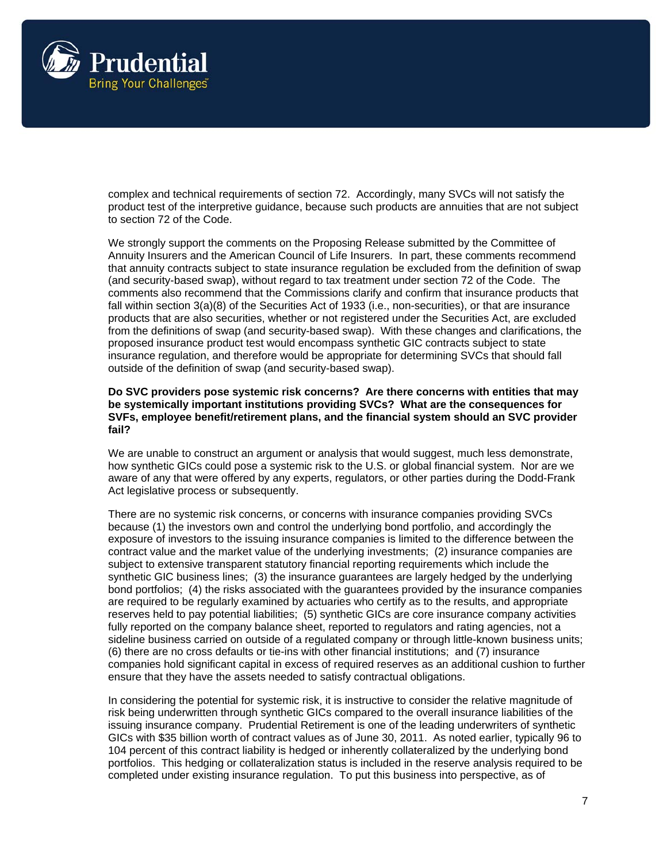

complex and technical requirements of section 72. Accordingly, many SVCs will not satisfy the product test of the interpretive guidance, because such products are annuities that are not subject to section 72 of the Code.

We strongly support the comments on the Proposing Release submitted by the Committee of Annuity Insurers and the American Council of Life Insurers. In part, these comments recommend that annuity contracts subject to state insurance regulation be excluded from the definition of swap (and security-based swap), without regard to tax treatment under section 72 of the Code. The comments also recommend that the Commissions clarify and confirm that insurance products that fall within section 3(a)(8) of the Securities Act of 1933 (i.e., non-securities), or that are insurance products that are also securities, whether or not registered under the Securities Act, are excluded from the definitions of swap (and security-based swap). With these changes and clarifications, the proposed insurance product test would encompass synthetic GIC contracts subject to state insurance regulation, and therefore would be appropriate for determining SVCs that should fall outside of the definition of swap (and security-based swap).

#### **Do SVC providers pose systemic risk concerns? Are there concerns with entities that may be systemically important institutions providing SVCs? What are the consequences for SVFs, employee benefit/retirement plans, and the financial system should an SVC provider fail?**

We are unable to construct an argument or analysis that would suggest, much less demonstrate, how synthetic GICs could pose a systemic risk to the U.S. or global financial system. Nor are we aware of any that were offered by any experts, regulators, or other parties during the Dodd-Frank Act legislative process or subsequently.

There are no systemic risk concerns, or concerns with insurance companies providing SVCs because (1) the investors own and control the underlying bond portfolio, and accordingly the exposure of investors to the issuing insurance companies is limited to the difference between the contract value and the market value of the underlying investments; (2) insurance companies are subject to extensive transparent statutory financial reporting requirements which include the synthetic GIC business lines; (3) the insurance guarantees are largely hedged by the underlying bond portfolios; (4) the risks associated with the guarantees provided by the insurance companies are required to be regularly examined by actuaries who certify as to the results, and appropriate reserves held to pay potential liabilities; (5) synthetic GICs are core insurance company activities fully reported on the company balance sheet, reported to regulators and rating agencies, not a sideline business carried on outside of a regulated company or through little-known business units; (6) there are no cross defaults or tie-ins with other financial institutions; and (7) insurance companies hold significant capital in excess of required reserves as an additional cushion to further ensure that they have the assets needed to satisfy contractual obligations.

In considering the potential for systemic risk, it is instructive to consider the relative magnitude of risk being underwritten through synthetic GICs compared to the overall insurance liabilities of the issuing insurance company. Prudential Retirement is one of the leading underwriters of synthetic GICs with \$35 billion worth of contract values as of June 30, 2011. As noted earlier, typically 96 to 104 percent of this contract liability is hedged or inherently collateralized by the underlying bond portfolios. This hedging or collateralization status is included in the reserve analysis required to be completed under existing insurance regulation. To put this business into perspective, as of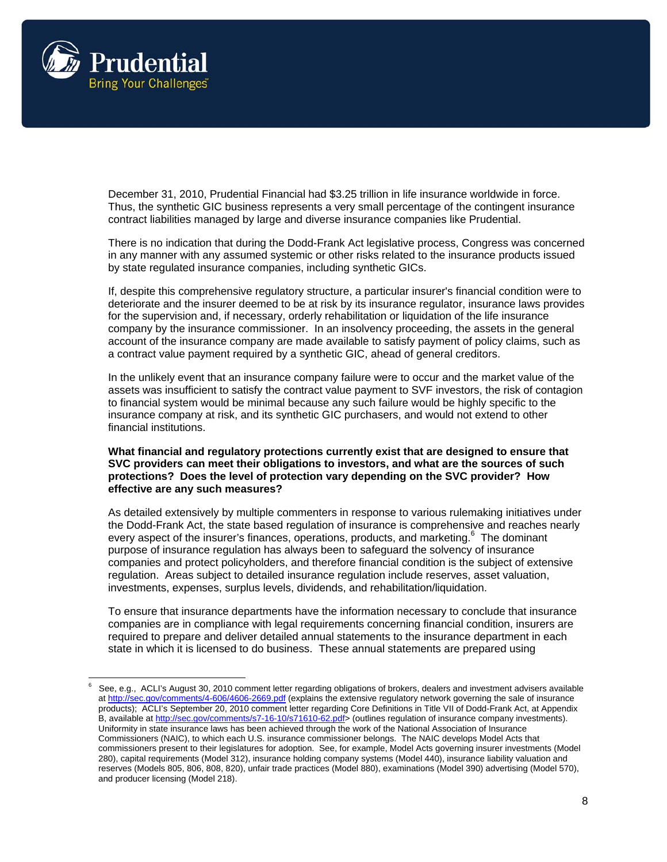

December 31, 2010, Prudential Financial had \$3.25 trillion in life insurance worldwide in force. Thus, the synthetic GIC business represents a very small percentage of the contingent insurance contract liabilities managed by large and diverse insurance companies like Prudential.

There is no indication that during the Dodd-Frank Act legislative process, Congress was concerned in any manner with any assumed systemic or other risks related to the insurance products issued by state regulated insurance companies, including synthetic GICs.

If, despite this comprehensive regulatory structure, a particular insurer's financial condition were to deteriorate and the insurer deemed to be at risk by its insurance regulator, insurance laws provides for the supervision and, if necessary, orderly rehabilitation or liquidation of the life insurance company by the insurance commissioner. In an insolvency proceeding, the assets in the general account of the insurance company are made available to satisfy payment of policy claims, such as a contract value payment required by a synthetic GIC, ahead of general creditors.

In the unlikely event that an insurance company failure were to occur and the market value of the assets was insufficient to satisfy the contract value payment to SVF investors, the risk of contagion to financial system would be minimal because any such failure would be highly specific to the insurance company at risk, and its synthetic GIC purchasers, and would not extend to other financial institutions.

### **What financial and regulatory protections currently exist that are designed to ensure that SVC providers can meet their obligations to investors, and what are the sources of such protections? Does the level of protection vary depending on the SVC provider? How effective are any such measures?**

As detailed extensively by multiple commenters in response to various rulemaking initiatives under the Dodd-Frank Act, the state based regulation of insurance is comprehensive and reaches nearly every aspect of the insurer's finances, operations, products, and marketing.<sup>6</sup> The dominant purpose of insurance regulation has always been to safeguard the solvency of insurance companies and protect policyholders, and therefore financial condition is the subject of extensive regulation. Areas subject to detailed insurance regulation include reserves, asset valuation, investments, expenses, surplus levels, dividends, and rehabilitation/liquidation.

To ensure that insurance departments have the information necessary to conclude that insurance companies are in compliance with legal requirements concerning financial condition, insurers are required to prepare and deliver detailed annual statements to the insurance department in each state in which it is licensed to do business. These annual statements are prepared using

<sup>6</sup> See, e.g., ACLI's August 30, 2010 comment letter regarding obligations of brokers, dealers and investment advisers available at http://sec.gov/comments/4-606/4606-2669.pdf (explains the extensive regulatory network governing the sale of insurance products); ACLI's September 20, 2010 comment letter regarding Core Definitions in Title VII of Dodd-Frank Act, at Appendix B, available at http://sec.gov/comments/s7-16-10/s71610-62.pdf> (outlines regulation of insurance company investments). Uniformity in state insurance laws has been achieved through the work of the National Association of Insurance Commissioners (NAIC), to which each U.S. insurance commissioner belongs. The NAIC develops Model Acts that commissioners present to their legislatures for adoption. See, for example, Model Acts governing insurer investments (Model 280), capital requirements (Model 312), insurance holding company systems (Model 440), insurance liability valuation and reserves (Models 805, 806, 808, 820), unfair trade practices (Model 880), examinations (Model 390) advertising (Model 570), and producer licensing (Model 218).